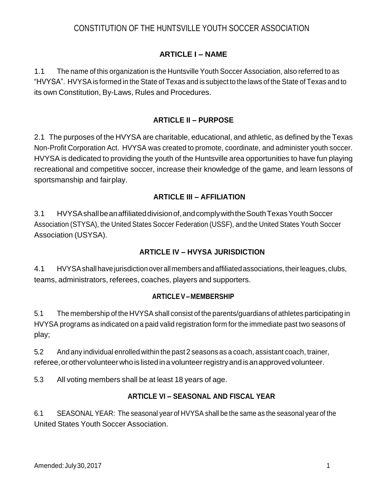# CONSTITUTION OF THE HUNTSVILLE YOUTH SOCCER ASSOCIATION

### **ARTICLE I – NAME**

1.1 The name of this organization is the Huntsville Youth Soccer Association, also referred to as "HVYSA". HVYSA is formed in the State of Texas and is subject to the laws of the State of Texas and to its own Constitution, By-Laws, Rules and Procedures.

### **ARTICLE II – PURPOSE**

2.1 The purposes of the HVYSA are charitable, educational, and athletic, as defined by the Texas Non-Profit Corporation Act. HVYSA was created to promote, coordinate, and administer youth soccer. HVYSA is dedicated to providing the youth of the Huntsville area opportunities to have fun playing recreational and competitive soccer, increase their knowledge of the game, and learn lessons of sportsmanship and fairplay.

### **ARTICLE III – AFFILIATION**

3.1 HVYSAshallbeanaffiliateddivisionof,andcomplywiththeSouthTexasYouthSoccer Association (STYSA), the United States Soccer Federation (USSF), and the United States Youth Soccer Association (USYSA).

### **ARTICLE IV – HVYSA JURISDICTION**

4.1 HVYSAshallhavejurisdictionoverallmembersandaffiliatedassociations,theirleagues,clubs, teams, administrators, referees, coaches, players and supporters.

#### **ARTICLE V– MEMBERSHIP**

5.1 The membership of the HVYSA shall consist of the parents/guardians of athletes participating in HVYSA programs as indicated on a paid valid registration form for the immediate past two seasons of play;

5.2 And any individual enrolled within the past 2 seasons as a coach, assistant coach, trainer, referee, or other volunteer who is listed in a volunteer registry and is an approved volunteer.

5.3 All voting members shall be at least 18 years of age.

### **ARTICLE VI – SEASONAL AND FISCAL YEAR**

6.1 SEASONAL YEAR: The seasonal year of HVYSA shall be the same as the seasonal year of the United States Youth Soccer Association.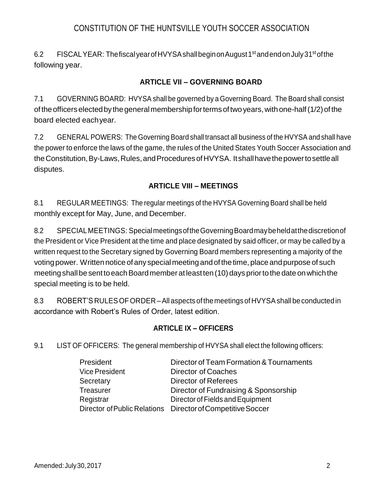## CONSTITUTION OF THE HUNTSVILLE YOUTH SOCCER ASSOCIATION

6.2 FISCAL YEAR: The fiscal year of HVYSA shall begin on August 1st and end on July 31st of the following year.

### **ARTICLE VII – GOVERNING BOARD**

7.1 GOVERNING BOARD: HVYSA shall be governed by a Governing Board. The Board shall consist of theofficerselectedbythegeneralmembershipfortermsoftwoyears,withone-half(1/2)of the board elected eachyear.

7.2 GENERAL POWERS: The Governing Board shall transact all business of the HVYSA and shall have the power to enforce the laws of the game, the rules of the United States Youth Soccer Association and the Constitution, By-Laws, Rules, and Procedures of HVYSA. It shall have the power to settle all disputes.

### **ARTICLE VIII – MEETINGS**

8.1 REGULAR MEETINGS: The regular meetings of the HVYSA Governing Board shall be held monthly except for May, June, and December.

8.2 SPECIALMEETINGS: SpecialmeetingsoftheGoverningBoardmaybeheldatthediscretionof the President or Vice President at the time and place designated by said officer, or may be called by a written request to the Secretary signed by Governing Board members representing a majority of the voting power. Written notice of any special meeting and of the time, place and purpose of such meeting shall be sent to each Board member at least ten (10) days prior to the date on which the special meeting is to be held.

8.3 ROBERT'S RULESOFORDER –All aspectsof themeetingsofHVYSAshallbe conductedin accordance with Robert's Rules of Order, latest edition.

## **ARTICLE IX – OFFICERS**

9.1 LIST OF OFFICERS: The general membership of HVYSA shall elect the following officers:

| President             | Director of Team Formation & Tournaments                     |
|-----------------------|--------------------------------------------------------------|
| <b>Vice President</b> | <b>Director of Coaches</b>                                   |
| Secretary             | Director of Referees                                         |
| Treasurer             | Director of Fundraising & Sponsorship                        |
| Registrar             | Director of Fields and Equipment                             |
|                       | Director of Public Relations  Director of Competitive Soccer |